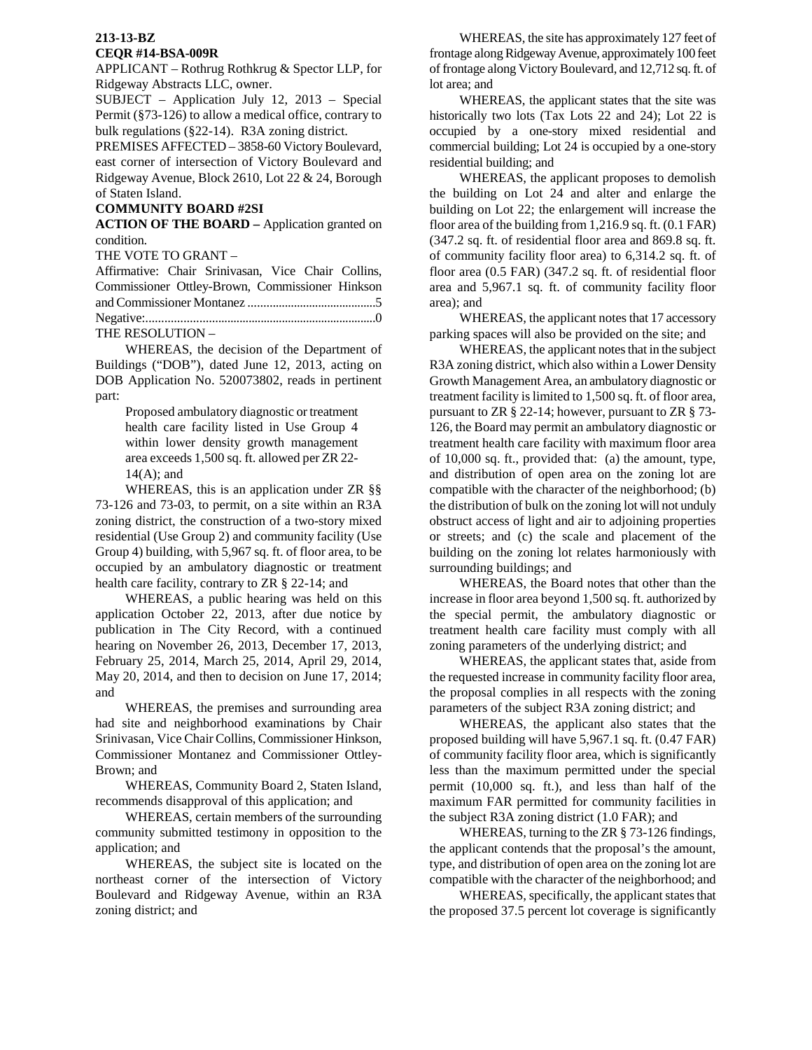# **213-13-BZ**

#### **CEQR #14-BSA-009R**

APPLICANT – Rothrug Rothkrug & Spector LLP, for Ridgeway Abstracts LLC, owner.

SUBJECT – Application July 12, 2013 – Special Permit (§73-126) to allow a medical office, contrary to bulk regulations (§22-14). R3A zoning district.

PREMISES AFFECTED – 3858-60 Victory Boulevard, east corner of intersection of Victory Boulevard and Ridgeway Avenue, Block 2610, Lot 22 & 24, Borough of Staten Island.

### **COMMUNITY BOARD #2SI**

**ACTION OF THE BOARD –** Application granted on condition.

THE VOTE TO GRANT –

Affirmative: Chair Srinivasan, Vice Chair Collins, Commissioner Ottley-Brown, Commissioner Hinkson and Commissioner Montanez ..........................................5 Negative:...........................................................................0

THE RESOLUTION –

WHEREAS, the decision of the Department of Buildings ("DOB"), dated June 12, 2013, acting on DOB Application No. 520073802, reads in pertinent part:

> Proposed ambulatory diagnostic or treatment health care facility listed in Use Group 4 within lower density growth management area exceeds 1,500 sq. ft. allowed per ZR 22- 14(A); and

WHEREAS, this is an application under ZR §§ 73-126 and 73-03, to permit, on a site within an R3A zoning district, the construction of a two-story mixed residential (Use Group 2) and community facility (Use Group 4) building, with 5,967 sq. ft. of floor area, to be occupied by an ambulatory diagnostic or treatment health care facility, contrary to ZR § 22-14; and

WHEREAS, a public hearing was held on this application October 22, 2013, after due notice by publication in The City Record, with a continued hearing on November 26, 2013, December 17, 2013, February 25, 2014, March 25, 2014, April 29, 2014, May 20, 2014, and then to decision on June 17, 2014; and

WHEREAS, the premises and surrounding area had site and neighborhood examinations by Chair Srinivasan, Vice Chair Collins, Commissioner Hinkson, Commissioner Montanez and Commissioner Ottley-Brown; and

WHEREAS, Community Board 2, Staten Island, recommends disapproval of this application; and

WHEREAS, certain members of the surrounding community submitted testimony in opposition to the application; and

WHEREAS, the subject site is located on the northeast corner of the intersection of Victory Boulevard and Ridgeway Avenue, within an R3A zoning district; and

WHEREAS, the site has approximately 127 feet of frontage along Ridgeway Avenue, approximately 100 feet of frontage along Victory Boulevard, and 12,712 sq. ft. of lot area; and

WHEREAS, the applicant states that the site was historically two lots (Tax Lots 22 and 24); Lot 22 is occupied by a one-story mixed residential and commercial building; Lot 24 is occupied by a one-story residential building; and

WHEREAS, the applicant proposes to demolish the building on Lot 24 and alter and enlarge the building on Lot 22; the enlargement will increase the floor area of the building from 1,216.9 sq. ft. (0.1 FAR) (347.2 sq. ft. of residential floor area and 869.8 sq. ft. of community facility floor area) to 6,314.2 sq. ft. of floor area (0.5 FAR) (347.2 sq. ft. of residential floor area and 5,967.1 sq. ft. of community facility floor area); and

WHEREAS, the applicant notes that 17 accessory parking spaces will also be provided on the site; and

WHEREAS, the applicant notes that in the subject R3A zoning district, which also within a Lower Density Growth Management Area, an ambulatory diagnostic or treatment facility is limited to 1,500 sq. ft. of floor area, pursuant to ZR § 22-14; however, pursuant to ZR § 73- 126, the Board may permit an ambulatory diagnostic or treatment health care facility with maximum floor area of 10,000 sq. ft., provided that: (a) the amount, type, and distribution of open area on the zoning lot are compatible with the character of the neighborhood; (b) the distribution of bulk on the zoning lot will not unduly obstruct access of light and air to adjoining properties or streets; and (c) the scale and placement of the building on the zoning lot relates harmoniously with surrounding buildings; and

WHEREAS, the Board notes that other than the increase in floor area beyond 1,500 sq. ft. authorized by the special permit, the ambulatory diagnostic or treatment health care facility must comply with all zoning parameters of the underlying district; and

WHEREAS, the applicant states that, aside from the requested increase in community facility floor area, the proposal complies in all respects with the zoning parameters of the subject R3A zoning district; and

WHEREAS, the applicant also states that the proposed building will have 5,967.1 sq. ft. (0.47 FAR) of community facility floor area, which is significantly less than the maximum permitted under the special permit (10,000 sq. ft.), and less than half of the maximum FAR permitted for community facilities in the subject R3A zoning district (1.0 FAR); and

WHEREAS, turning to the ZR § 73-126 findings, the applicant contends that the proposal's the amount, type, and distribution of open area on the zoning lot are compatible with the character of the neighborhood; and

WHEREAS, specifically, the applicant states that the proposed 37.5 percent lot coverage is significantly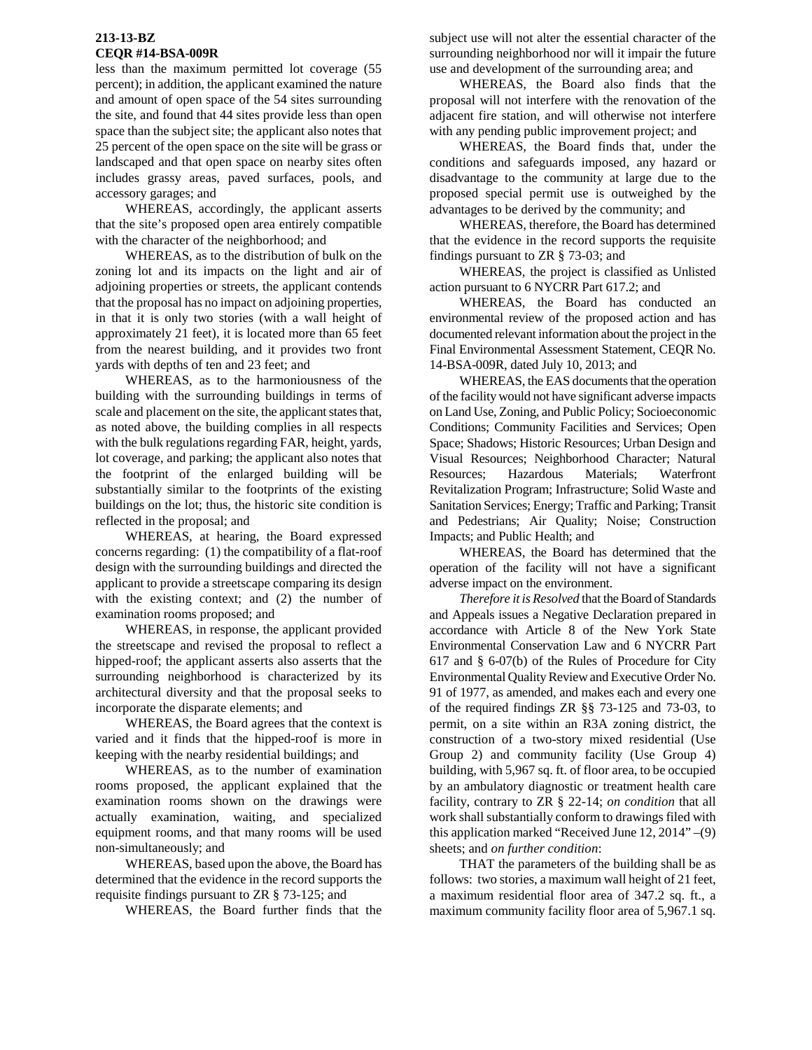### **213-13-BZ CEQR #14-BSA-009R**

less than the maximum permitted lot coverage (55 percent); in addition, the applicant examined the nature and amount of open space of the 54 sites surrounding the site, and found that 44 sites provide less than open space than the subject site; the applicant also notes that 25 percent of the open space on the site will be grass or landscaped and that open space on nearby sites often includes grassy areas, paved surfaces, pools, and accessory garages; and

WHEREAS, accordingly, the applicant asserts that the site's proposed open area entirely compatible with the character of the neighborhood; and

WHEREAS, as to the distribution of bulk on the zoning lot and its impacts on the light and air of adjoining properties or streets, the applicant contends that the proposal has no impact on adjoining properties, in that it is only two stories (with a wall height of approximately 21 feet), it is located more than 65 feet from the nearest building, and it provides two front yards with depths of ten and 23 feet; and

WHEREAS, as to the harmoniousness of the building with the surrounding buildings in terms of scale and placement on the site, the applicant states that, as noted above, the building complies in all respects with the bulk regulations regarding FAR, height, yards, lot coverage, and parking; the applicant also notes that the footprint of the enlarged building will be substantially similar to the footprints of the existing buildings on the lot; thus, the historic site condition is reflected in the proposal; and

WHEREAS, at hearing, the Board expressed concerns regarding: (1) the compatibility of a flat-roof design with the surrounding buildings and directed the applicant to provide a streetscape comparing its design with the existing context; and (2) the number of examination rooms proposed; and

WHEREAS, in response, the applicant provided the streetscape and revised the proposal to reflect a hipped-roof; the applicant asserts also asserts that the surrounding neighborhood is characterized by its architectural diversity and that the proposal seeks to incorporate the disparate elements; and

WHEREAS, the Board agrees that the context is varied and it finds that the hipped-roof is more in keeping with the nearby residential buildings; and

WHEREAS, as to the number of examination rooms proposed, the applicant explained that the examination rooms shown on the drawings were actually examination, waiting, and specialized equipment rooms, and that many rooms will be used non-simultaneously; and

WHEREAS, based upon the above, the Board has determined that the evidence in the record supports the requisite findings pursuant to ZR § 73-125; and

WHEREAS, the Board further finds that the

subject use will not alter the essential character of the surrounding neighborhood nor will it impair the future use and development of the surrounding area; and

WHEREAS, the Board also finds that the proposal will not interfere with the renovation of the adjacent fire station, and will otherwise not interfere with any pending public improvement project; and

WHEREAS, the Board finds that, under the conditions and safeguards imposed, any hazard or disadvantage to the community at large due to the proposed special permit use is outweighed by the advantages to be derived by the community; and

WHEREAS, therefore, the Board has determined that the evidence in the record supports the requisite findings pursuant to ZR § 73-03; and

WHEREAS, the project is classified as Unlisted action pursuant to 6 NYCRR Part 617.2; and

WHEREAS, the Board has conducted an environmental review of the proposed action and has documented relevant information about the project in the Final Environmental Assessment Statement, CEQR No. 14-BSA-009R, dated July 10, 2013; and

WHEREAS, the EAS documents that the operation of the facility would not have significant adverse impacts on Land Use, Zoning, and Public Policy; Socioeconomic Conditions; Community Facilities and Services; Open Space; Shadows; Historic Resources; Urban Design and Visual Resources; Neighborhood Character; Natural Resources; Hazardous Materials; Waterfront Revitalization Program; Infrastructure; Solid Waste and Sanitation Services; Energy; Traffic and Parking; Transit and Pedestrians; Air Quality; Noise; Construction Impacts; and Public Health; and

WHEREAS, the Board has determined that the operation of the facility will not have a significant adverse impact on the environment.

*Therefore it is Resolved* that the Board of Standards and Appeals issues a Negative Declaration prepared in accordance with Article 8 of the New York State Environmental Conservation Law and 6 NYCRR Part 617 and § 6-07(b) of the Rules of Procedure for City Environmental Quality Review and Executive Order No. 91 of 1977, as amended, and makes each and every one of the required findings ZR §§ 73-125 and 73-03, to permit, on a site within an R3A zoning district, the construction of a two-story mixed residential (Use Group 2) and community facility (Use Group 4) building, with 5,967 sq. ft. of floor area, to be occupied by an ambulatory diagnostic or treatment health care facility, contrary to ZR § 22-14; *on condition* that all work shall substantially conform to drawings filed with this application marked "Received June 12, 2014" –(9) sheets; and *on further condition*:

THAT the parameters of the building shall be as follows: two stories, a maximum wall height of 21 feet, a maximum residential floor area of 347.2 sq. ft., a maximum community facility floor area of 5,967.1 sq.